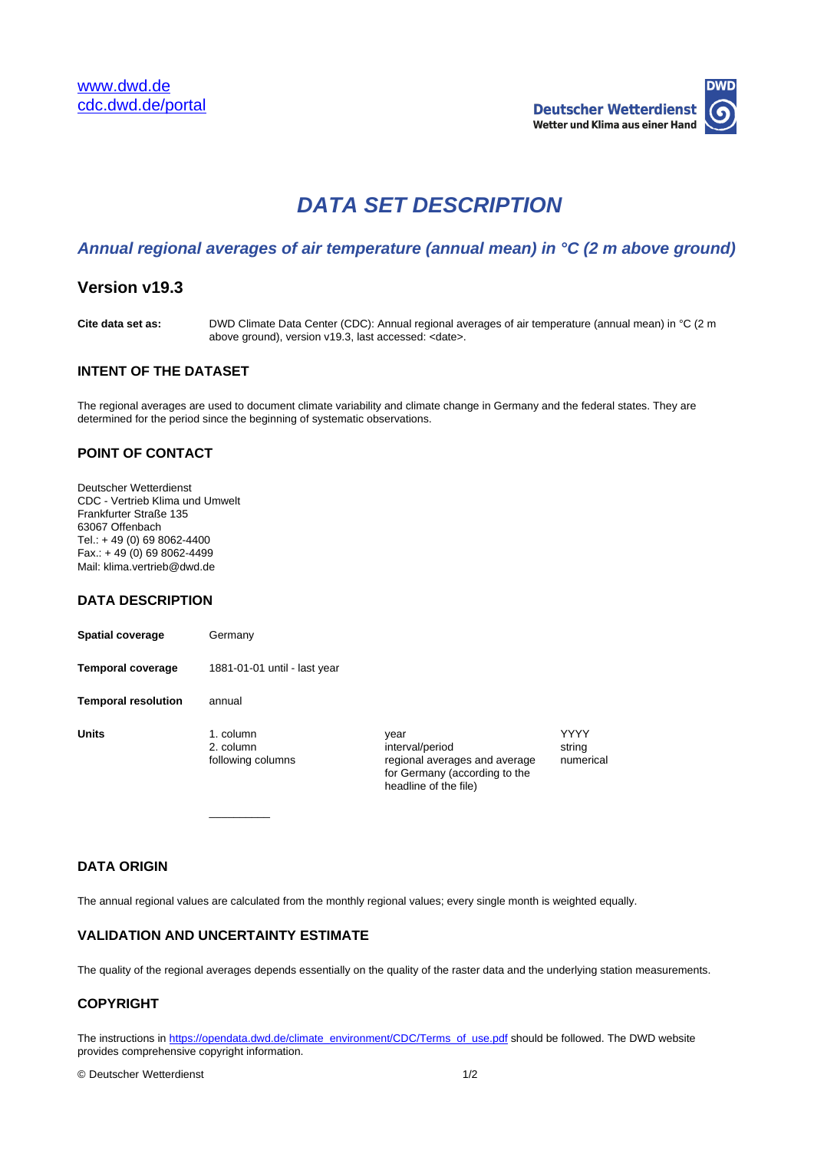

# **DATA SET DESCRIPTION**

## **Annual regional averages of air temperature (annual mean) in °C (2 m above ground)**

# **Version v19.3**

**Cite data set as:** DWD Climate Data Center (CDC): Annual regional averages of air temperature (annual mean) in °C (2 m above ground), version v19.3, last accessed: <date>.

## **INTENT OF THE DATASET**

The regional averages are used to document climate variability and climate change in Germany and the federal states. They are determined for the period since the beginning of systematic observations.

## **POINT OF CONTACT**

Deutscher Wetterdienst CDC - Vertrieb Klima und Umwelt Frankfurter Straße 135 63067 Offenbach Tel.: + 49 (0) 69 8062-4400  $Fax.: + 49(0) 69 8062-4499$ Mail: klima.vertrieb@dwd.de

#### **DATA DESCRIPTION**

**Spatial coverage Germany Temporal coverage** 1881-01-01 until - last year **Temporal resolution** annual **Units** 1. column year year year YYYY 2. column interval/period string string<br>
following columns following columns regional averages and average nume

 $\overline{\phantom{a}}$  , where  $\overline{\phantom{a}}$ 

regional averages and average for Germany (according to the headline of the file)

numerical

## **DATA ORIGIN**

The annual regional values are calculated from the monthly regional values; every single month is weighted equally.

#### **VALIDATION AND UNCERTAINTY ESTIMATE**

The quality of the regional averages depends essentially on the quality of the raster data and the underlying station measurements.

#### **COPYRIGHT**

The instructions in [https://opendata.dwd.de/climate\\_environment/CDC/Terms\\_of\\_use.pdf](https://opendata.dwd.de/climate_environment/CDC/Terms_of_use.pdf) should be followed. The DWD website provides comprehensive copyright information.

© Deutscher Wetterdienst 1/2